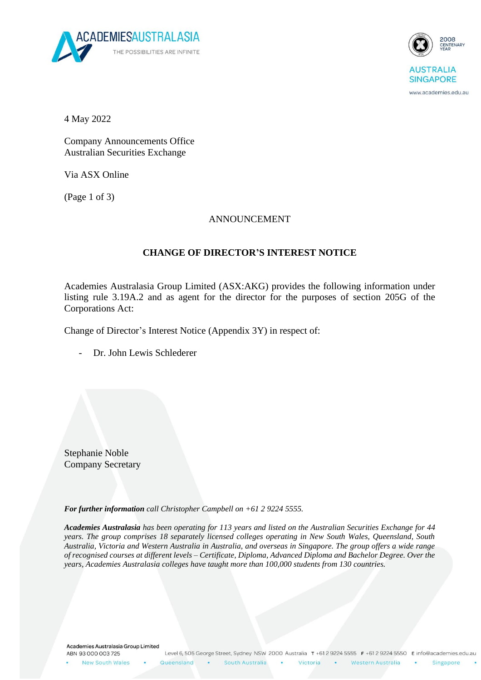



www.academies.edu.au

4 May 2022

Company Announcements Office Australian Securities Exchange

Via ASX Online

(Page 1 of 3)

### ANNOUNCEMENT

## **CHANGE OF DIRECTOR'S INTEREST NOTICE**

Academies Australasia Group Limited (ASX:AKG) provides the following information under listing rule 3.19A.2 and as agent for the director for the purposes of section 205G of the Corporations Act:

Change of Director's Interest Notice (Appendix 3Y) in respect of:

Dr. John Lewis Schlederer

Stephanie Noble Company Secretary

*For further information call Christopher Campbell on +61 2 9224 5555.*

*Academies Australasia has been operating for 113 years and listed on the Australian Securities Exchange for 44 years. The group comprises 18 separately licensed colleges operating in New South Wales, Queensland, South Australia, Victoria and Western Australia in Australia, and overseas in Singapore. The group offers a wide range of recognised courses at different levels – Certificate, Diploma, Advanced Diploma and Bachelor Degree. Over the years, Academies Australasia colleges have taught more than 100,000 students from 130 countries.*

Academies Australasia Group Limited ABN 93 000 003 725

New South Wales

**College** Western Australia

Victoria

Singapore

 $\bullet$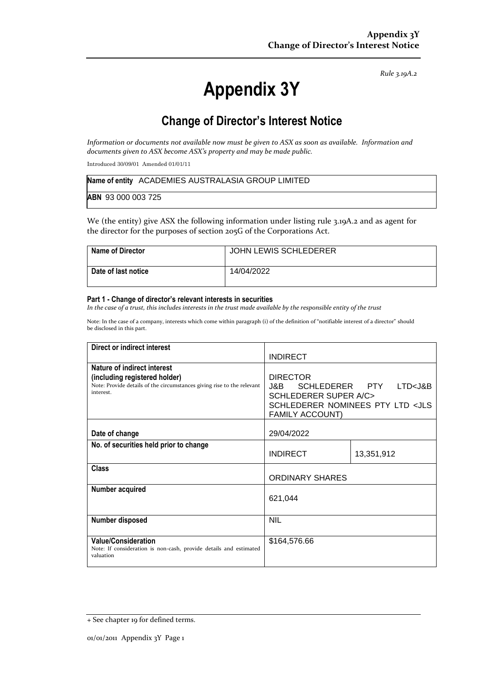*Rule 3.19A.2*

# **Appendix 3Y**

# **Change of Director's Interest Notice**

*Information or documents not available now must be given to ASX as soon as available. Information and documents given to ASX become ASX's property and may be made public.*

Introduced 30/09/01 Amended 01/01/11

|                    | Name of entity ACADEMIES AUSTRALASIA GROUP LIMITED |
|--------------------|----------------------------------------------------|
| ABN 93 000 003 725 |                                                    |

We (the entity) give ASX the following information under listing rule 3.19A.2 and as agent for the director for the purposes of section 205G of the Corporations Act.

| Name of Director    | <b>JOHN LEWIS SCHLEDERER</b> |
|---------------------|------------------------------|
| Date of last notice | 14/04/2022                   |

#### **Part 1 - Change of director's relevant interests in securities**

*In the case of a trust, this includes interests in the trust made available by the responsible entity of the trust*

Note: In the case of a company, interests which come within paragraph (i) of the definition of "notifiable interest of a director" should be disclosed in this part.

| Direct or indirect interest                                                                                                                         |                                                                                                                                                             |            |
|-----------------------------------------------------------------------------------------------------------------------------------------------------|-------------------------------------------------------------------------------------------------------------------------------------------------------------|------------|
|                                                                                                                                                     | <b>INDIRECT</b>                                                                                                                                             |            |
| Nature of indirect interest<br>(including registered holder)<br>Note: Provide details of the circumstances giving rise to the relevant<br>interest. | <b>DIRECTOR</b><br>J&B SCHLEDERER PTY LTD <j&b<br><b>SCHLEDERER SUPER A/C&gt;</b><br/>SCHLEDERER NOMINEES PTY LTD <jls<br>FAMILY ACCOUNT)</jls<br></j&b<br> |            |
| Date of change                                                                                                                                      | 29/04/2022                                                                                                                                                  |            |
| No. of securities held prior to change                                                                                                              | <b>INDIRECT</b>                                                                                                                                             | 13,351,912 |
| <b>Class</b>                                                                                                                                        | <b>ORDINARY SHARES</b>                                                                                                                                      |            |
| Number acquired                                                                                                                                     | 621,044                                                                                                                                                     |            |
| <b>Number disposed</b>                                                                                                                              | <b>NIL</b>                                                                                                                                                  |            |
| <b>Value/Consideration</b><br>Note: If consideration is non-cash, provide details and estimated<br>valuation                                        | \$164,576.66                                                                                                                                                |            |

<sup>+</sup> See chapter 19 for defined terms.